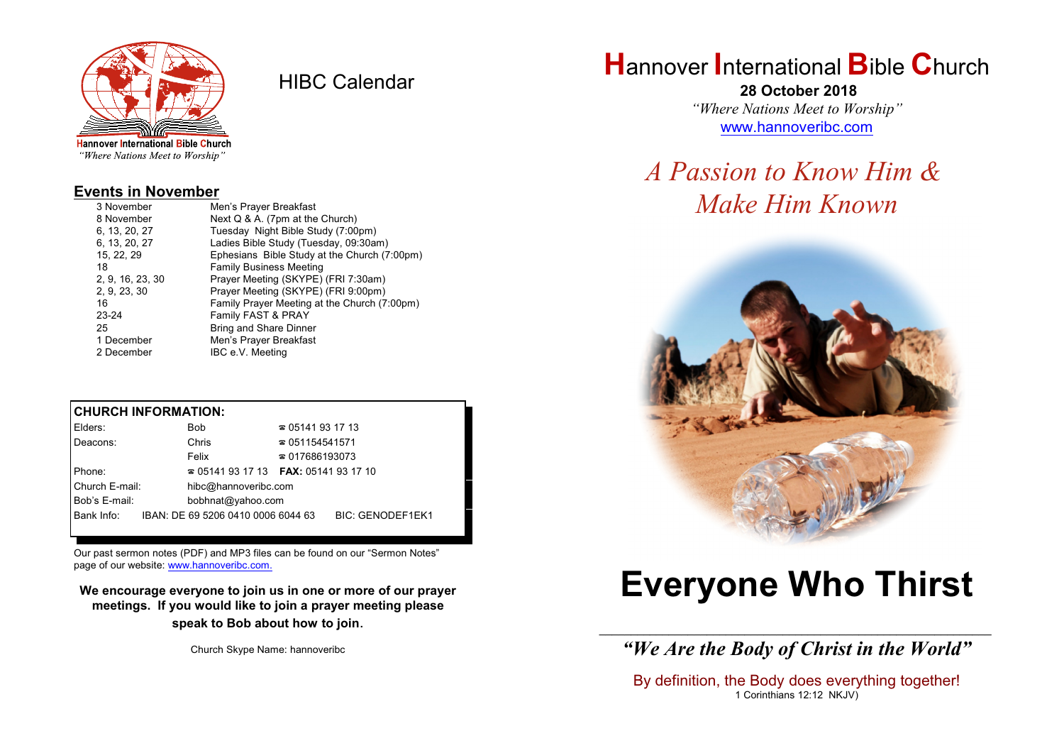

HIBC Calendar

"Where Nations Meet to Worship"

#### **Events in November**

| 3 November       | Men's Prayer Breakfast                       |  |  |
|------------------|----------------------------------------------|--|--|
| 8 November       | Next Q & A. (7pm at the Church)              |  |  |
| 6, 13, 20, 27    | Tuesday Night Bible Study (7:00pm)           |  |  |
| 6, 13, 20, 27    | Ladies Bible Study (Tuesday, 09:30am)        |  |  |
| 15, 22, 29       | Ephesians Bible Study at the Church (7:00pm) |  |  |
| 18               | <b>Family Business Meeting</b>               |  |  |
| 2, 9, 16, 23, 30 | Prayer Meeting (SKYPE) (FRI 7:30am)          |  |  |
| 2, 9, 23, 30     | Prayer Meeting (SKYPE) (FRI 9:00pm)          |  |  |
| 16               | Family Prayer Meeting at the Church (7:00pm) |  |  |
| 23-24            | Family FAST & PRAY                           |  |  |
| 25               | <b>Bring and Share Dinner</b>                |  |  |
| 1 December       | Men's Prayer Breakfast                       |  |  |
| 2 December       | IBC e.V. Meeting                             |  |  |

#### **CHURCH INFORMATION:**

| Elders:        | <b>Bob</b>                                    | $\approx 05141931713$  |                  |  |
|----------------|-----------------------------------------------|------------------------|------------------|--|
| Deacons:       | Chris                                         | $\approx 051154541571$ |                  |  |
|                | Felix                                         | $\approx 017686193073$ |                  |  |
| Phone:         | $\approx 05141931713$ FAX: 0514193 17 10      |                        |                  |  |
| Church E-mail: | hibc@hannoveribc.com                          |                        |                  |  |
| Bob's E-mail:  | bobhnat@yahoo.com                             |                        |                  |  |
|                | Bank Info: IBAN: DE 69 5206 0410 0006 6044 63 |                        | BIC: GENODEF1EK1 |  |
|                |                                               |                        |                  |  |

Our past sermon notes (PDF) and MP3 files can be found on our "Sermon Notes" page of our website: [www.hannoveribc.com.](http://www.hannoveribc.com.)

**We encourage everyone to join us in one or more of our prayer meetings. If you would like to join a prayer meeting please speak to Bob about how to join**.

Church Skype Name: hannoveribc

## **H**annover **I**nternational **B**ible **C**hurch

 **28 October 2018** *"Where Nations Meet to Worship"* [www.hannoveribc.com](http://www.hannoveribc.com)

# *A Passion to Know Him & Make Him Known*



# **Everyone Who Thirst**

\_\_\_\_\_\_\_\_\_\_\_\_\_\_\_\_\_\_\_\_\_\_\_\_\_\_\_\_\_\_\_\_\_\_\_\_\_\_\_\_\_\_\_\_\_\_\_\_\_\_\_\_\_\_\_\_\_\_\_\_\_\_ *"We Are the Body of Christ in the World"*

By definition, the Body does everything together! 1 Corinthians 12:12 NKJV)